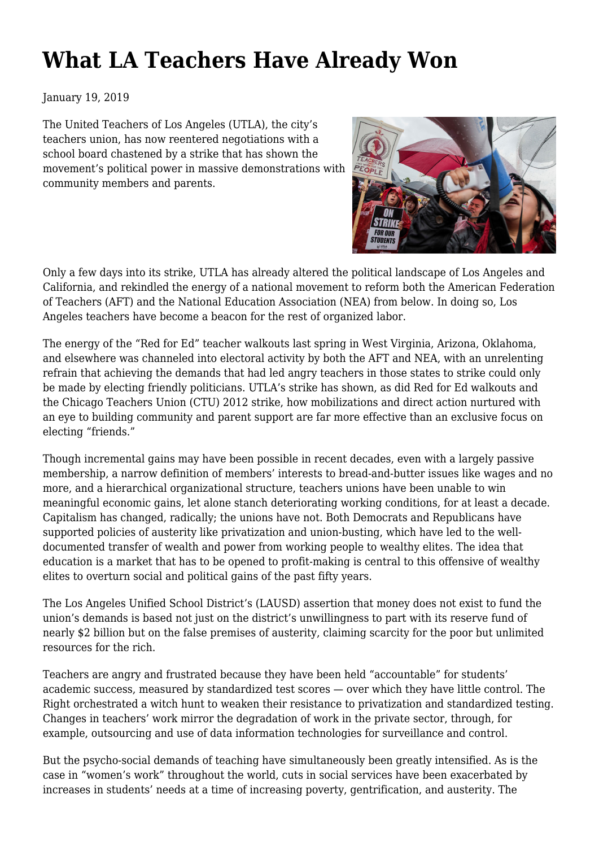## **[What LA Teachers Have Already Won](https://newpol.org/what-la-teachers-have-already-won/)**

January 19, 2019

The United Teachers of Los Angeles (UTLA), the city's teachers union, has now reentered negotiations with a school board chastened by a strike that has shown the movement's political power in massive demonstrations with community members and parents.



Only a few days into its strike, UTLA has already altered the political landscape of Los Angeles and California, and rekindled the energy of a national movement to reform both the American Federation of Teachers (AFT) and the National Education Association (NEA) from below. In doing so, Los Angeles teachers have become a beacon for the rest of organized labor.

The energy of the "Red for Ed" teacher walkouts last spring in West Virginia, Arizona, Oklahoma, and elsewhere [was channeled](http://newpol.org/walkouts-teach-us-labor-new-grammar-struggle) into electoral activity by both the AFT and NEA, with an unrelenting refrain that achieving the demands that had led angry teachers in those states to strike could only be made by electing friendly politicians. UTLA's strike has shown, as did Red for Ed walkouts and the Chicago Teachers Union (CTU) [2012 strike,](https://www.jacobinmag.com/2014/03/uncommon-core-chicago-teachers-union/) how mobilizations and direct action nurtured with an eye to building community and parent support are far more effective than an exclusive focus on electing "friends."

Though incremental gains may have been possible in recent decades, even with a largely passive membership, a narrow definition of members' interests to bread-and-butter issues like wages and no more, and a hierarchical organizational structure, teachers unions have been unable to win meaningful economic gains, let alone stanch deteriorating working conditions, for at least a decade. Capitalism has changed, radically; the unions have not. Both Democrats and Republicans have supported policies of austerity like privatization and union-busting, which have led to the welldocumented transfer of wealth and power from working people to wealthy elites. The idea that education is a market that has to be opened to profit-making is central to this offensive of wealthy elites to overturn social and political gains of the past fifty years.

The Los Angeles Unified School District's (LAUSD) assertion that money does not exist to fund the union's demands is based not just on the [district's unwillingness](https://www.jacobinmag.com/2018/11/los-angeles-teachers-strike-alex-caputo-pearl-interview) to part with its reserve fund of nearly \$2 billion but on the false premises of austerity, claiming scarcity for the poor but unlimited resources for the rich.

Teachers are angry and frustrated because they have been held "accountable" for students' academic success, measured by standardized test scores — over which they have little control. The Right orchestrated a [witch hunt](https://mronline.org/2012/03/07/weiner070312-html/) to weaken their resistance to privatization and standardized testing. Changes in teachers' work mirror the degradation of work in the private sector, through, for example, outsourcing and use of data information technologies for surveillance and control.

But the psycho-social demands of teaching have simultaneously been greatly intensified. As is the case in "women's work" [throughout the world](http://www.rebelnews.ie/2019/01/14/american-teachers-striking-back/?fbclid=IwAR05YBPdlKCrni9xrSGwMNglqy-642RA5H3nMeffJtyU857g9CldgaOsqo8), cuts in social services have been exacerbated by increases in students' needs at a time of increasing poverty, gentrification, and austerity. The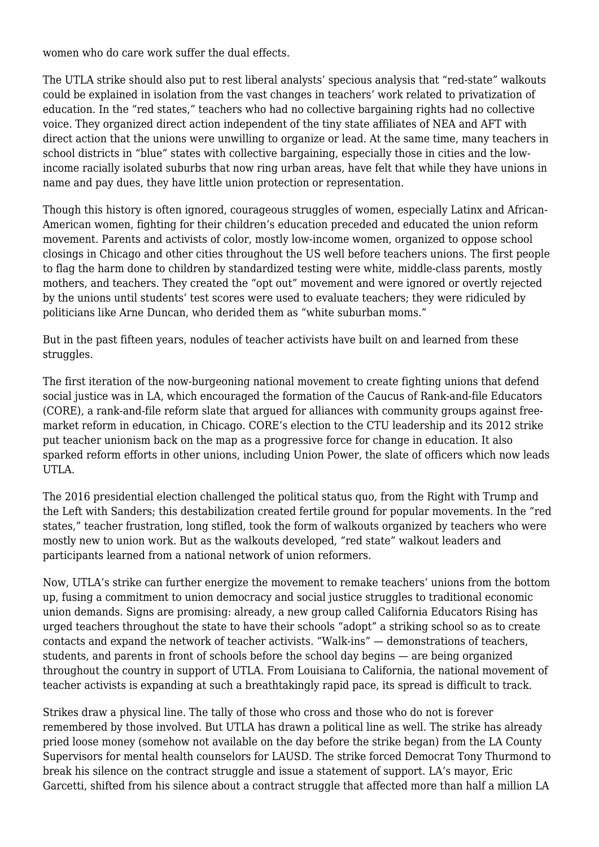women who do care work suffer the dual effects.

The UTLA strike should also put to rest liberal analysts' specious analysis that "red-state" walkouts could be [explained in isolation](https://www.jacobinmag.com/2018/05/teacher-strikes-labor-movement-education) from the vast changes in teachers' work related to privatization of education. In the "red states," teachers who had no collective bargaining rights had no collective voice. They organized direct action independent of the tiny state affiliates of NEA and AFT with direct action that the unions were unwilling to organize or lead. At the same time, many teachers in school districts in "blue" states with collective bargaining, especially those in cities and the lowincome racially isolated suburbs that now ring urban areas, have felt that while they have unions in name and pay dues, they have little union protection or representation.

Though this history is often ignored, courageous struggles of women, especially Latinx and African-American women, fighting for their children's education preceded and educated the union reform movement. Parents and activists of color, mostly low-income women, [organized to oppose](https://journals.sagepub.com/doi/abs/10.1177/0895904806297734) school closings in Chicago and other cities throughout the US well before teachers unions. The first people to flag the harm done to children by standardized testing were white, middle-class parents, mostly mothers, and teachers. They created [the "opt out" movement](https://www.edweek.org/ew/articles/2015/06/10/the-opt-out-movement-is-gaining-momentum.html) and were ignored or overtly rejected by the unions [until students' test scores were used to evaluate teachers](http://newpol.org/should-we-%E2%80%9Cplay-nice%E2%80%9D-nea-and-aft); they were ridiculed by politicians like Arne Duncan, who derided them as "white suburban moms."

But in the past fifteen years, nodules of teacher activists have built on and learned from these struggles.

The first iteration of th[e now-burgeoning](http://www.labornotes.org/2017/08/teachers-caucus-together) [national movement](http://labornotes.org/2015/04/teachers-compare-notes) to create fighting unions that defend social justice was in LA, which encouraged the formation of the Caucus of Rank-and-file Educators (CORE), a rank-and-file reform slate that argued for alliances with community groups against freemarket reform in education, in Chicago. CORE's election to the CTU leadership and its 2012 strike put teacher unionism back on the map as a progressive force for change in education. It also sparked reform efforts in other unions, including Union Power, the slate of officers which now leads UTLA.

The 2016 presidential election challenged the political status quo, from the Right with Trump and the Left with Sanders; this destabilization created fertile ground for popular movements. In the "red states," teacher frustration, long stifled, [took the form of walkouts](https://www.jacobinmag.com/2018/04/red-state-teachers-strikes-walkouts-unions) organized by teachers who were mostly new to union work. But as the walkouts developed, "red state" walkout leaders and participants learned from a national network of union reformers.

Now, UTLA's strike can further energize the movement to remake teachers' unions from the bottom up, fusing a commitment to union democracy and social justice struggles to traditional economic union demands. Signs are promising: already, a new group called California Educators Rising has urged teachers throughout the state to have their schools ["adopt"](https://www.facebook.com/UTLAnow/videos/339900080073414/UzpfSTEwMDAwMTQ5MDAxMzgzNzpWSzo5MjI5NjQ1MjQ1Njg4NjE/?multi_permalinks=922664767932170¬if_id=1547557537482129¬if_t=group_highlights) a striking school so as to create contacts and expand the network of teacher activists. "Walk-ins" — demonstrations of teachers, students, and parents in front of schools before the school day begins — are being organized throughout the country in support of UTLA. From Louisiana to California, the national movement of teacher activists is expanding at such a breathtakingly rapid pace, its spread is difficult to track.

Strikes draw a physical line. The tally of those who cross and those who do not is forever remembered by those involved. But UTLA has drawn a political line as well. The strike has already pried loose money (somehow not available on the day before the strike began) from the LA County Supervisors for [mental health counselors for LAUSD.](http://www.dailynews.com/l-a-supervisors-ok-10-million-for-the-lausd-to-pay-for-more-mental-health-counselors) The strike forced Democrat Tony Thurmond to break his silence on the contract struggle and issue a statement of support. LA's mayor, Eric Garcetti, shifted from his silence about a contract struggle that affected more than half a million LA